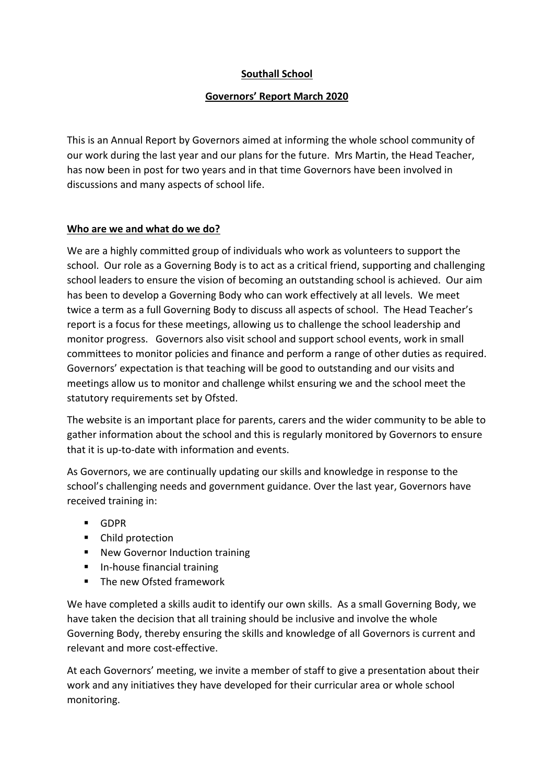# **Southall School**

## **Governors' Report March 2020**

This is an Annual Report by Governors aimed at informing the whole school community of our work during the last year and our plans for the future. Mrs Martin, the Head Teacher, has now been in post for two years and in that time Governors have been involved in discussions and many aspects of school life.

## **Who are we and what do we do?**

We are a highly committed group of individuals who work as volunteers to support the school. Our role as a Governing Body is to act as a critical friend, supporting and challenging school leaders to ensure the vision of becoming an outstanding school is achieved. Our aim has been to develop a Governing Body who can work effectively at all levels. We meet twice a term as a full Governing Body to discuss all aspects of school. The Head Teacher's report is a focus for these meetings, allowing us to challenge the school leadership and monitor progress. Governors also visit school and support school events, work in small committees to monitor policies and finance and perform a range of other duties as required. Governors' expectation is that teaching will be good to outstanding and our visits and meetings allow us to monitor and challenge whilst ensuring we and the school meet the statutory requirements set by Ofsted.

The website is an important place for parents, carers and the wider community to be able to gather information about the school and this is regularly monitored by Governors to ensure that it is up-to-date with information and events.

As Governors, we are continually updating our skills and knowledge in response to the school's challenging needs and government guidance. Over the last year, Governors have received training in:

- GDPR
- Child protection
- New Governor Induction training
- In-house financial training
- The new Ofsted framework

We have completed a skills audit to identify our own skills. As a small Governing Body, we have taken the decision that all training should be inclusive and involve the whole Governing Body, thereby ensuring the skills and knowledge of all Governors is current and relevant and more cost-effective.

At each Governors' meeting, we invite a member of staff to give a presentation about their work and any initiatives they have developed for their curricular area or whole school monitoring.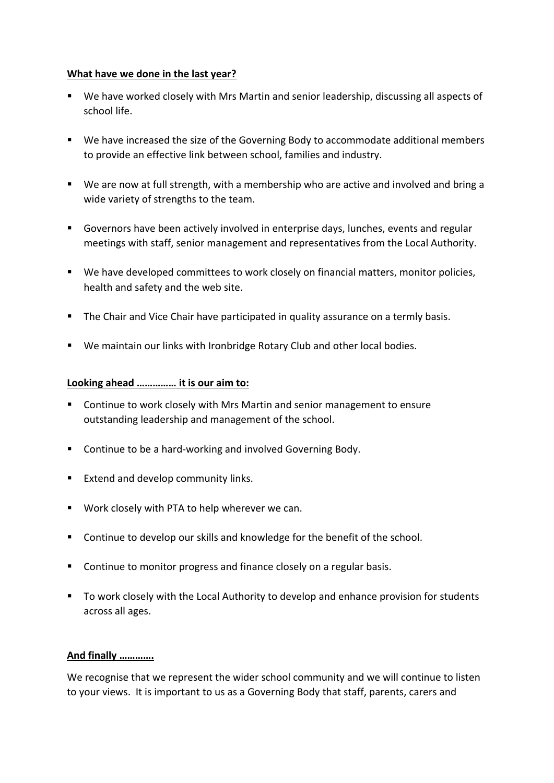#### **What have we done in the last year?**

- We have worked closely with Mrs Martin and senior leadership, discussing all aspects of school life.
- We have increased the size of the Governing Body to accommodate additional members to provide an effective link between school, families and industry.
- We are now at full strength, with a membership who are active and involved and bring a wide variety of strengths to the team.
- Governors have been actively involved in enterprise days, lunches, events and regular meetings with staff, senior management and representatives from the Local Authority.
- We have developed committees to work closely on financial matters, monitor policies, health and safety and the web site.
- The Chair and Vice Chair have participated in quality assurance on a termly basis.
- We maintain our links with Ironbridge Rotary Club and other local bodies.

#### **Looking ahead …………… it is our aim to:**

- Continue to work closely with Mrs Martin and senior management to ensure outstanding leadership and management of the school.
- Continue to be a hard-working and involved Governing Body.
- Extend and develop community links.
- Work closely with PTA to help wherever we can.
- Continue to develop our skills and knowledge for the benefit of the school.
- Continue to monitor progress and finance closely on a regular basis.
- To work closely with the Local Authority to develop and enhance provision for students across all ages.

## **And finally ………….**

We recognise that we represent the wider school community and we will continue to listen to your views. It is important to us as a Governing Body that staff, parents, carers and